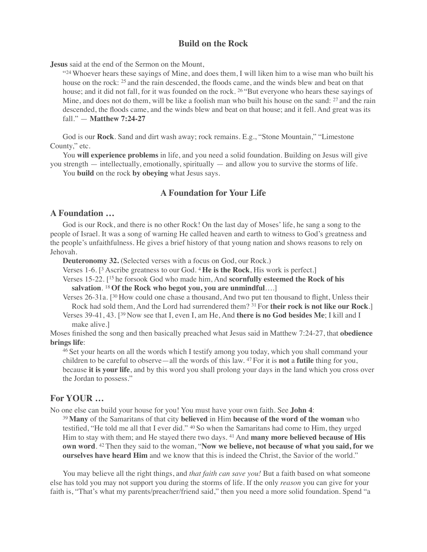# **Build on the Rock**

**Jesus** said at the end of the Sermon on the Mount,

"<sup>24</sup> Whoever hears these sayings of Mine, and does them, I will liken him to a wise man who built his house on the rock: <sup>25</sup> and the rain descended, the floods came, and the winds blew and beat on that house; and it did not fall, for it was founded on the rock. <sup>26</sup> "But everyone who hears these sayings of Mine, and does not do them, will be like a foolish man who built his house on the sand: <sup>27</sup> and the rain descended, the floods came, and the winds blew and beat on that house; and it fell. And great was its fall." — **Matthew 7:24-27**

God is our **Rock**. Sand and dirt wash away; rock remains. E.g., "Stone Mountain," "Limestone County," etc.

You **will experience problems** in life, and you need a solid foundation. Building on Jesus will give you strength — intellectually, emotionally, spiritually — and allow you to survive the storms of life.

You **build** on the rock **by obeying** what Jesus says.

# **A Foundation for Your Life**

#### **A Foundation …**

God is our Rock, and there is no other Rock! On the last day of Moses' life, he sang a song to the people of Israel. It was a song of warning He called heaven and earth to witness to God's greatness and the people's unfaithfulness. He gives a brief history of that young nation and shows reasons to rely on Jehovah.

**Deuteronomy 32.** (Selected verses with a focus on God, our Rock.)

Verses 1-6. [3 Ascribe greatness to our God. 4 **He is the Rock**, His work is perfect.]

Verses 15-22. [15 he forsook God who made him, And **scornfully esteemed the Rock of his salvation**. 18 **Of the Rock who begot you, you are unmindful**….]

Verses 26-31a. [30 How could one chase a thousand, And two put ten thousand to flight, Unless their Rock had sold them, And the Lord had surrendered them? 31 For **their rock is not like our Rock**.]

Verses 39-41, 43. [39 Now see that I, even I, am He, And **there is no God besides Me**; I kill and I make alive.]

Moses finished the song and then basically preached what Jesus said in Matthew 7:24-27, that **obedience brings life**:

46 Set your hearts on all the words which I testify among you today, which you shall command your children to be careful to observe—all the words of this law. 47 For it is **not** a **futile** thing for you, because **it is your life**, and by this word you shall prolong your days in the land which you cross over the Jordan to possess."

# **For YOUR …**

No one else can build your house for you! You must have your own faith. See **John 4**:

<sup>39</sup>**Many** of the Samaritans of that city **believed** in Him **because of the word of the woman** who testified, "He told me all that I ever did." 40 So when the Samaritans had come to Him, they urged Him to stay with them; and He stayed there two days. <sup>41</sup> And **many more believed because of His own word**. 42 Then they said to the woman, "**Now we believe, not because of what you said, for we ourselves have heard Him** and we know that this is indeed the Christ, the Savior of the world."

You may believe all the right things, and *that faith can save you!* But a faith based on what someone else has told you may not support you during the storms of life. If the only *reason* you can give for your faith is, "That's what my parents/preacher/friend said," then you need a more solid foundation. Spend "a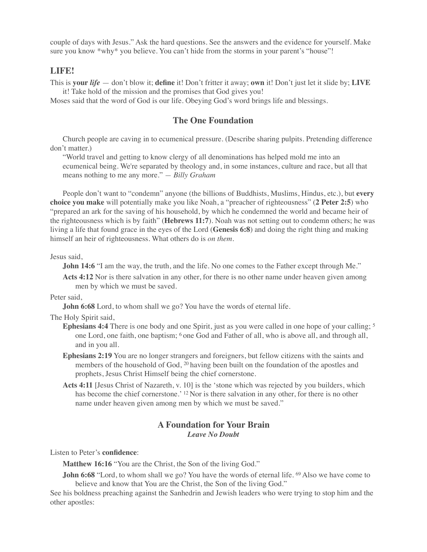couple of days with Jesus." Ask the hard questions. See the answers and the evidence for yourself. Make sure you know \*why\* you believe. You can't hide from the storms in your parent's "house"!

## **LIFE!**

This is **your** *life* — don't blow it; **define** it! Don't fritter it away; **own** it! Don't just let it slide by; **LIVE** it! Take hold of the mission and the promises that God gives you!

Moses said that the word of God is our life. Obeying God's word brings life and blessings.

# **The One Foundation**

Church people are caving in to ecumenical pressure. (Describe sharing pulpits. Pretending difference don't matter.)

"World travel and getting to know clergy of all denominations has helped mold me into an ecumenical being. We're separated by theology and, in some instances, culture and race, but all that means nothing to me any more." *— Billy Graham*

People don't want to "condemn" anyone (the billions of Buddhists, Muslims, Hindus, etc.), but **every choice you make** will potentially make you like Noah, a "preacher of righteousness" (**2 Peter 2:5**) who "prepared an ark for the saving of his household, by which he condemned the world and became heir of the righteousness which is by faith" (**Hebrews 11:7**). Noah was not setting out to condemn others; he was living a life that found grace in the eyes of the Lord (**Genesis 6:8**) and doing the right thing and making himself an heir of righteousness. What others do is *on them.*

Jesus said,

**John 14:6** "I am the way, the truth, and the life. No one comes to the Father except through Me."

**Acts 4:12** Nor is there salvation in any other, for there is no other name under heaven given among men by which we must be saved.

Peter said

**John 6:68** Lord, to whom shall we go? You have the words of eternal life.

The Holy Spirit said,

- **Ephesians 4:4** There is one body and one Spirit, just as you were called in one hope of your calling; <sup>5</sup> one Lord, one faith, one baptism; 6 one God and Father of all, who is above all, and through all, and in you all.
- **Ephesians 2:19** You are no longer strangers and foreigners, but fellow citizens with the saints and members of the household of God, <sup>20</sup> having been built on the foundation of the apostles and prophets, Jesus Christ Himself being the chief cornerstone.
- **Acts 4:11** [Jesus Christ of Nazareth, v. 10] is the 'stone which was rejected by you builders, which has become the chief cornerstone.' <sup>12</sup> Nor is there salvation in any other, for there is no other name under heaven given among men by which we must be saved."

## **A Foundation for Your Brain** *Leave No Doubt*

Listen to Peter's **confidence**:

**Matthew 16:16** "You are the Christ, the Son of the living God."

**John 6:68** "Lord, to whom shall we go? You have the words of eternal life. <sup>69</sup> Also we have come to believe and know that You are the Christ, the Son of the living God."

See his boldness preaching against the Sanhedrin and Jewish leaders who were trying to stop him and the other apostles: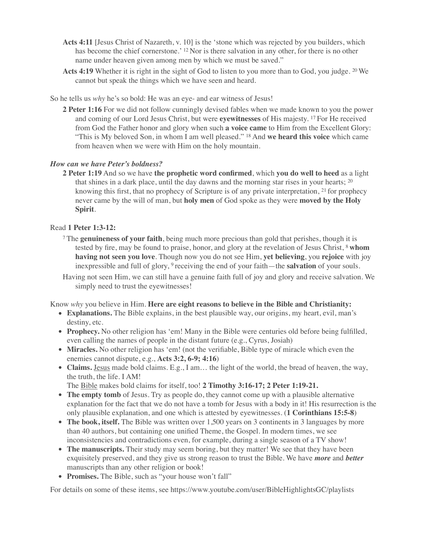- **Acts 4:11** [Jesus Christ of Nazareth, v. 10] is the 'stone which was rejected by you builders, which has become the chief cornerstone.' <sup>12</sup> Nor is there salvation in any other, for there is no other name under heaven given among men by which we must be saved."
- **Acts 4:19** Whether it is right in the sight of God to listen to you more than to God, you judge. 20 We cannot but speak the things which we have seen and heard.

So he tells us *why* he's so bold: He was an eye- and ear witness of Jesus!

**2 Peter 1:16** For we did not follow cunningly devised fables when we made known to you the power and coming of our Lord Jesus Christ, but were **eyewitnesses** of His majesty. 17 For He received from God the Father honor and glory when such **a voice came** to Him from the Excellent Glory: "This is My beloved Son, in whom I am well pleased." 18 And **we heard this voice** which came from heaven when we were with Him on the holy mountain.

#### *How can we have Peter's boldness?*

**2 Peter 1:19** And so we have **the prophetic word confirmed**, which **you do well to heed** as a light that shines in a dark place, until the day dawns and the morning star rises in your hearts;  $2<sup>0</sup>$ knowing this first, that no prophecy of Scripture is of any private interpretation, 21 for prophecy never came by the will of man, but **holy men** of God spoke as they were **moved by the Holy Spirit**.

#### Read **1 Peter 1:3-12:**

7 The **genuineness of your faith**, being much more precious than gold that perishes, though it is tested by fire, may be found to praise, honor, and glory at the revelation of Jesus Christ, 8 **whom having not seen you love**. Though now you do not see Him, **yet believing**, you **rejoice** with joy inexpressible and full of glory, 9 receiving the end of your faith—the **salvation** of your souls.

Having not seen Him, we can still have a genuine faith full of joy and glory and receive salvation. We simply need to trust the eyewitnesses!

Know *why* you believe in Him. **Here are eight reasons to believe in the Bible and Christianity:** 

- **• Explanations.** The Bible explains, in the best plausible way, our origins, my heart, evil, man's destiny, etc.
- **Prophecy.** No other religion has 'em! Many in the Bible were centuries old before being fulfilled, even calling the names of people in the distant future (e.g., Cyrus, Josiah)
- **Miracles.** No other religion has 'em! (not the verifiable, Bible type of miracle which even the enemies cannot dispute, e.g., **Acts 3:2, 6-9; 4:16**)
- **• Claims.** Jesus made bold claims. E.g., I am… the light of the world, the bread of heaven, the way, the truth, the life. I AM!

The Bible makes bold claims for itself, too! **2 Timothy 3:16-17; 2 Peter 1:19-21.**

- The empty tomb of Jesus. Try as people do, they cannot come up with a plausible alternative explanation for the fact that we do not have a tomb for Jesus with a body in it! His resurrection is the only plausible explanation, and one which is attested by eyewitnesses. (**1 Corinthians 15:5-8**)
- The book, itself. The Bible was written over 1,500 years on 3 continents in 3 languages by more than 40 authors, but containing one unified Theme, the Gospel. In modern times, we see inconsistencies and contradictions even, for example, during a single season of a TV show!
- **The manuscripts.** Their study may seem boring, but they matter! We see that they have been exquisitely preserved, and they give us strong reason to trust the Bible. We have *more* and *better* manuscripts than any other religion or book!
- **• Promises.** The Bible, such as "your house won't fall"

For details on some of these items, see https://www.youtube.com/user/BibleHighlightsGC/playlists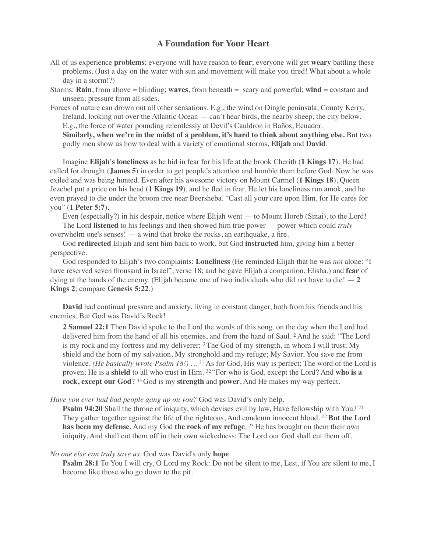# **A Foundation for Your Heart**

- All of us experience **problems**; everyone will have reason to **fear**; everyone will get **weary** battling these problems. (Just a day on the water with sun and movement will make you tired! What about a whole day in a storm!?)
- Storms: **Rain**, from above = blinding; **waves**, from beneath = scary and powerful; **wind** = constant and unseen; pressure from all sides.
- Forces of nature can drown out all other sensations. E.g., the wind on Dingle peninsula, County Kerry, Ireland, looking out over the Atlantic Ocean — can't hear birds, the nearby sheep, the city below. E.g., the force of water pounding relentlessly at Devil's Cauldron in Baños, Ecuador.

**Similarly, when we're in the midst of a problem, it's hard to think about anything else.** But two godly men show us how to deal with a variety of emotional storms, **Elijah** and **David**.

Imagine **Elijah's loneliness** as he hid in fear for his life at the brook Cherith (**1 Kings 17**). He had called for drought (**James 5**) in order to get people's attention and humble them before God. Now he was exiled and was being hunted. Even after his awesome victory on Mount Carmel (**1 Kings 18**), Queen Jezebel put a price on his head (**1 Kings 19**), and he fled in fear. He let his loneliness run amok, and he even prayed to die under the broom tree near Beersheba. "Cast all your care upon Him, for He cares for you" (**1 Peter 5:7**).

Even (especially?) in his despair, notice where Elijah went — to Mount Horeb (Sinai), to the Lord! The Lord **listened** to his feelings and then showed him true power — power which could *truly* overwhelm one's senses! — a wind that broke the rocks, an earthquake, a fire.

God **redirected** Elijah and sent him back to work, but God **instructed** him, giving him a better perspective.

God responded to Elijah's two complaints: **Loneliness** (He reminded Elijah that he was *not* alone: "I have reserved seven thousand in Israel", verse 18; and he gave Elijah a companion, Elisha.) and **fear** of dying at the hands of the enemy. (Elijah became one of two individuals who did not have to die!  $-2$ **Kings 2**; compare **Genesis 5:22**.)

**David** had continual pressure and anxiety, living in constant danger, both from his friends and his enemies. But God was David's Rock!

**2 Samuel 22:1** Then David spoke to the Lord the words of this song, on the day when the Lord had delivered him from the hand of all his enemies, and from the hand of Saul. 2 And he said: "The Lord is my rock and my fortress and my deliverer;  $3$  The God of my strength, in whom I will trust; My shield and the horn of my salvation, My stronghold and my refuge; My Savior, You save me from violence. *(He basically wrote Psalm 18!) …* 31 As for God, His way is perfect; The word of the Lord is proven; He is a **shield** to all who trust in Him. 32 "For who is God, except the Lord? And **who is a rock, except our God**? 33 God is my **strength** and **power**, And He makes my way perfect.

*Have you ever had bad people gang up on you?* God was David's only help.

**Psalm 94:20** Shall the throne of iniquity, which devises evil by law, Have fellowship with You? <sup>21</sup> They gather together against the life of the righteous, And condemn innocent blood. 22 **But the Lord has been my defense**, And my God **the rock of my refuge**. 23 He has brought on them their own iniquity, And shall cut them off in their own wickedness; The Lord our God shall cut them off.

#### *No one else can truly save us.* God was David's only **hope**.

**Psalm 28:1** To You I will cry, O Lord my Rock: Do not be silent to me, Lest, if You are silent to me, I become like those who go down to the pit.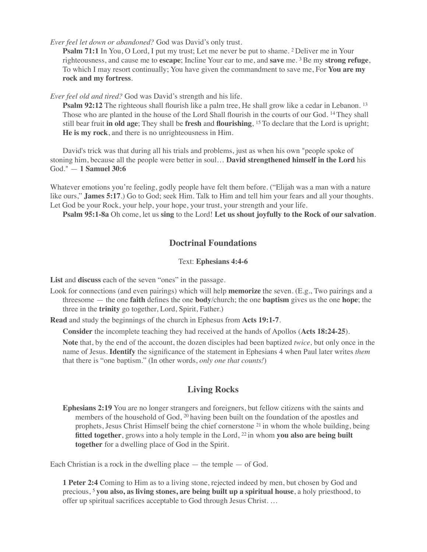*Ever feel let down or abandoned?* God was David's only trust.

**Psalm 71:1** In You, O Lord, I put my trust; Let me never be put to shame. <sup>2</sup> Deliver me in Your righteousness, and cause me to **escape**; Incline Your ear to me, and **save** me. 3 Be my **strong refuge**, To which I may resort continually; You have given the commandment to save me, For **You are my rock and my fortress**.

*Ever feel old and tired?* God was David's strength and his life.

**Psalm 92:12** The righteous shall flourish like a palm tree, He shall grow like a cedar in Lebanon. <sup>13</sup> Those who are planted in the house of the Lord Shall flourish in the courts of our God. 14 They shall still bear fruit **in old age**; They shall be **fresh** and **flourishing**, 15 To declare that the Lord is upright; **He is my rock**, and there is no unrighteousness in Him.

David's trick was that during all his trials and problems, just as when his own "people spoke of stoning him, because all the people were better in soul… **David strengthened himself in the Lord** his God." — **1 Samuel 30:6**

Whatever emotions you're feeling, godly people have felt them before. ("Elijah was a man with a nature" like ours," **James 5:17**.) Go to God; seek Him. Talk to Him and tell him your fears and all your thoughts. Let God be your Rock, your help, your hope, your trust, your strength and your life.

**Psalm 95:1-8a** Oh come, let us **sing** to the Lord! **Let us shout joyfully to the Rock of our salvation**.

# **Doctrinal Foundations**

# Text: **Ephesians 4:4-6**

**List** and **discuss** each of the seven "ones" in the passage.

Look for connections (and even pairings) which will help **memorize** the seven. (E.g., Two pairings and a threesome — the one **faith** defines the one **body**/church; the one **baptism** gives us the one **hope**; the three in the **trinity** go together, Lord, Spirit, Father.)

**Read** and study the beginnings of the church in Ephesus from **Acts 19:1-7**.

**Consider** the incomplete teaching they had received at the hands of Apollos (**Acts 18:24-25**).

**Note** that, by the end of the account, the dozen disciples had been baptized *twice,* but only once in the name of Jesus. **Identify** the significance of the statement in Ephesians 4 when Paul later writes *them* that there is "one baptism." (In other words, *only one that counts!*)

# **Living Rocks**

**Ephesians 2:19** You are no longer strangers and foreigners, but fellow citizens with the saints and members of the household of God, 20 having been built on the foundation of the apostles and prophets, Jesus Christ Himself being the chief cornerstone 21 in whom the whole building, being fitted together, grows into a holy temple in the Lord, <sup>22</sup> in whom **you also are being built together** for a dwelling place of God in the Spirit.

Each Christian is a rock in the dwelling place  $-$  the temple  $-$  of God.

**1 Peter 2:4** Coming to Him as to a living stone, rejected indeed by men, but chosen by God and precious, 5 **you also, as living stones, are being built up a spiritual house**, a holy priesthood, to offer up spiritual sacrifices acceptable to God through Jesus Christ. …